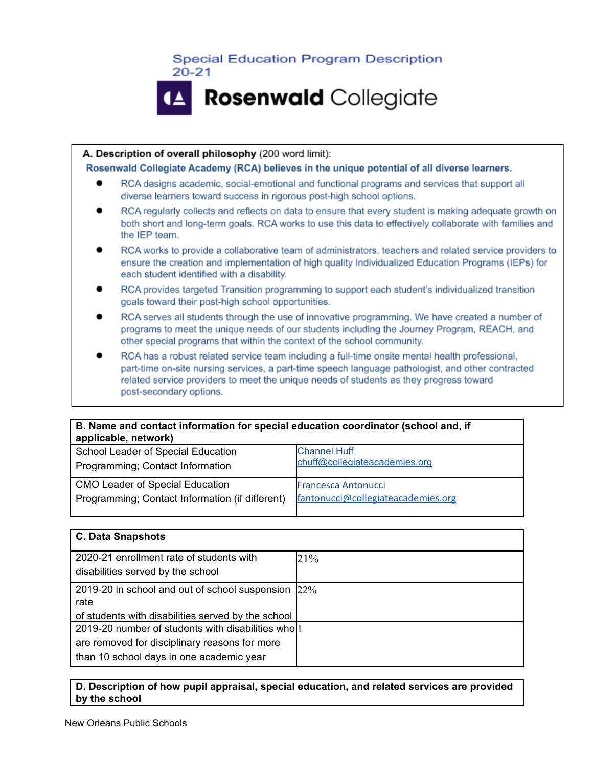

#### A. Description of overall philosophy (200 word limit):

Rosenwald Collegiate Academy (RCA) believes in the unique potential of all diverse learners.

- RCA designs academic, social-emotional and functional programs and services that support all diverse learners toward success in rigorous post-high school options.
- RCA regularly collects and reflects on data to ensure that every student is making adequate growth on both short and long-term goals. RCA works to use this data to effectively collaborate with families and the IEP team.
- RCA works to provide a collaborative team of administrators, teachers and related service providers to ensure the creation and implementation of high quality Individualized Education Programs (IEPs) for each student identified with a disability.
- RCA provides targeted Transition programming to support each student's individualized transition goals toward their post-high school opportunities.
- RCA serves all students through the use of innovative programming. We have created a number of programs to meet the unique needs of our students including the Journey Program, REACH, and other special programs that within the context of the school community.
- RCA has a robust related service team including a full-time onsite mental health professional, part-time on-site nursing services, a part-time speech language pathologist, and other contracted related service providers to meet the unique needs of students as they progress toward post-secondary options.

| B. Name and contact information for special education coordinator (school and, if<br>applicable, network) |                                    |  |
|-----------------------------------------------------------------------------------------------------------|------------------------------------|--|
| School Leader of Special Education                                                                        | <b>Channel Huff</b>                |  |
| Programming; Contact Information                                                                          | chuff@collegiateacademies.org      |  |
| <b>CMO Leader of Special Education</b>                                                                    | <b>Francesca Antonucci</b>         |  |
| Programming; Contact Information (if different)                                                           | fantonucci@collegiateacademies.org |  |

| <b>C. Data Snapshots</b>                           |     |
|----------------------------------------------------|-----|
| 2020-21 enrollment rate of students with           | 21% |
| disabilities served by the school                  |     |
| 2019-20 in school and out of school suspension 22% |     |
| rate                                               |     |
| of students with disabilities served by the school |     |
| 2019-20 number of students with disabilities wholl |     |
| are removed for disciplinary reasons for more      |     |
| than 10 school days in one academic year           |     |

#### **D. Description of how pupil appraisal, special education, and related services are provided by the school**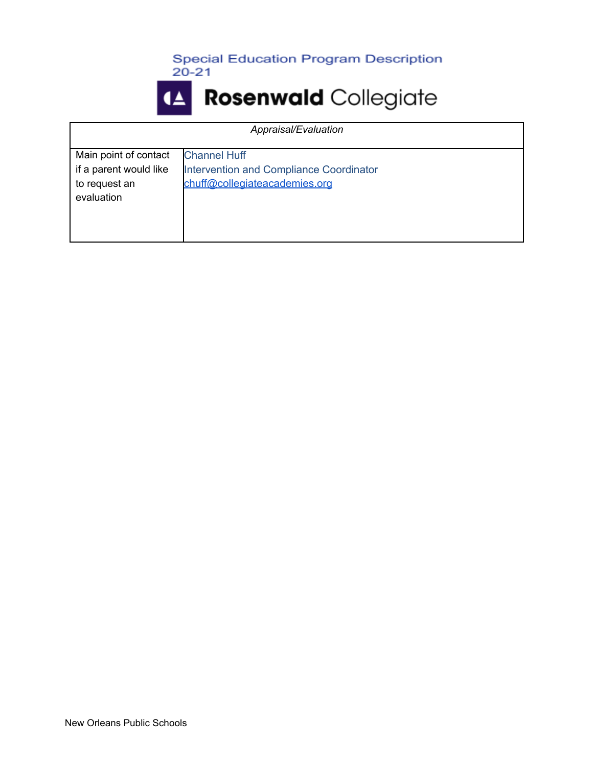

| Appraisal/Evaluation                                                           |                                                                                                 |
|--------------------------------------------------------------------------------|-------------------------------------------------------------------------------------------------|
| Main point of contact<br>if a parent would like<br>to request an<br>evaluation | <b>Channel Huff</b><br>Intervention and Compliance Coordinator<br>chuff@collegiateacademies.org |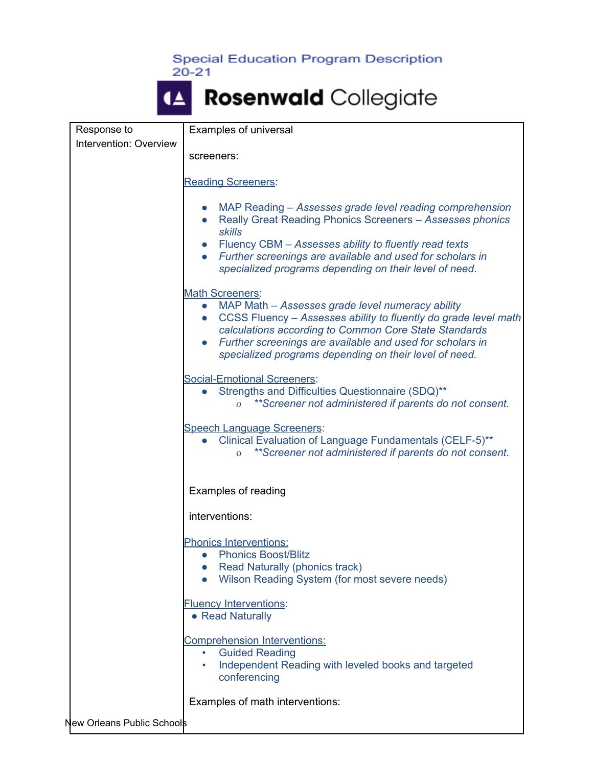| Response to                | Examples of universal                                                                                                                                                                                                                                                                                                                                   |
|----------------------------|---------------------------------------------------------------------------------------------------------------------------------------------------------------------------------------------------------------------------------------------------------------------------------------------------------------------------------------------------------|
| Intervention: Overview     |                                                                                                                                                                                                                                                                                                                                                         |
|                            | screeners:                                                                                                                                                                                                                                                                                                                                              |
|                            | <b>Reading Screeners:</b>                                                                                                                                                                                                                                                                                                                               |
|                            | MAP Reading – Assesses grade level reading comprehension<br>Really Great Reading Phonics Screeners - Assesses phonics<br>$\bullet$<br><b>skills</b><br>• Fluency CBM - Assesses ability to fluently read texts<br>• Further screenings are available and used for scholars in<br>specialized programs depending on their level of need.                 |
|                            |                                                                                                                                                                                                                                                                                                                                                         |
|                            | <b>Math Screeners:</b><br>MAP Math - Assesses grade level numeracy ability<br>$\bullet$<br>CCSS Fluency - Assesses ability to fluently do grade level math<br>$\bullet$<br>calculations according to Common Core State Standards<br>Further screenings are available and used for scholars in<br>specialized programs depending on their level of need. |
|                            | <b>Social-Emotional Screeners:</b><br>Strengths and Difficulties Questionnaire (SDQ)**<br>**Screener not administered if parents do not consent.<br>$\Omega$                                                                                                                                                                                            |
|                            | <b>Speech Language Screeners:</b><br>Clinical Evaluation of Language Fundamentals (CELF-5)**<br>$\bullet$<br>**Screener not administered if parents do not consent.<br>$\overline{O}$                                                                                                                                                                   |
|                            | Examples of reading                                                                                                                                                                                                                                                                                                                                     |
|                            | interventions:                                                                                                                                                                                                                                                                                                                                          |
|                            | <b>Phonics Interventions:</b><br><b>Phonics Boost/Blitz</b><br>$\bullet$<br>Read Naturally (phonics track)<br>Wilson Reading System (for most severe needs)<br>$\bullet$                                                                                                                                                                                |
|                            | <b>Fluency Interventions:</b><br>• Read Naturally                                                                                                                                                                                                                                                                                                       |
|                            | <b>Comprehension Interventions:</b><br><b>Guided Reading</b><br>$\bullet$<br>Independent Reading with leveled books and targeted<br>$\bullet$<br>conferencing                                                                                                                                                                                           |
|                            | Examples of math interventions:                                                                                                                                                                                                                                                                                                                         |
| New Orleans Public Schools |                                                                                                                                                                                                                                                                                                                                                         |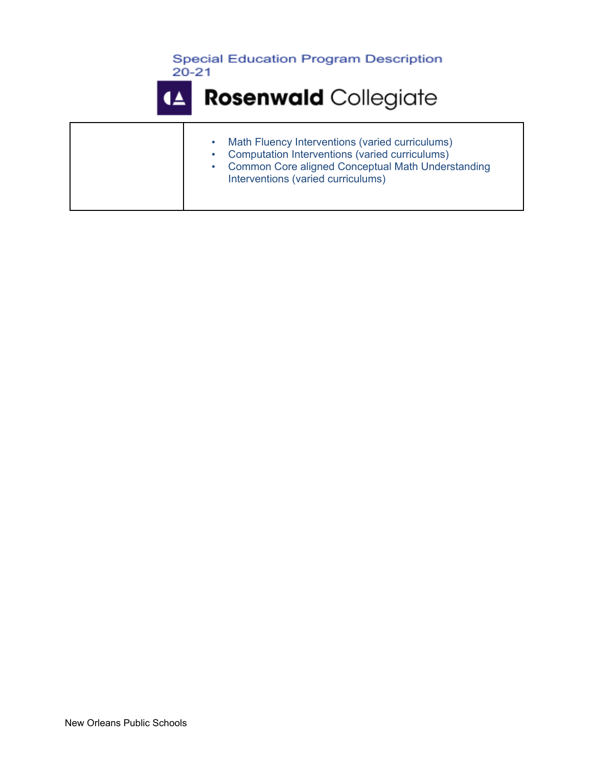



| $\bullet$<br>$\bullet$ | Math Fluency Interventions (varied curriculums)<br>Computation Interventions (varied curriculums)<br><b>Common Core aligned Conceptual Math Understanding</b><br>Interventions (varied curriculums) |
|------------------------|-----------------------------------------------------------------------------------------------------------------------------------------------------------------------------------------------------|
|------------------------|-----------------------------------------------------------------------------------------------------------------------------------------------------------------------------------------------------|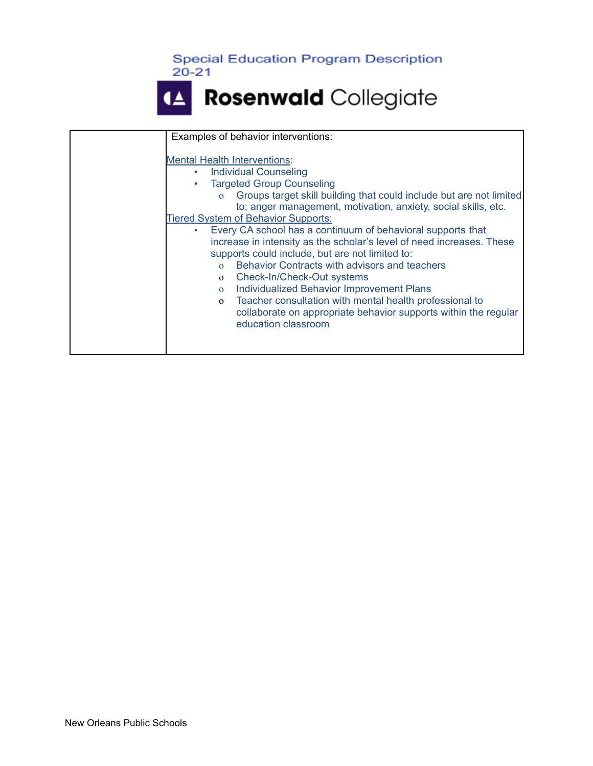



| Examples of behavior interventions:                                                                                                                                                                                                                                                                                                                                                                                                                                                                                                                                                                                                                                                                                                                                                                                                             |
|-------------------------------------------------------------------------------------------------------------------------------------------------------------------------------------------------------------------------------------------------------------------------------------------------------------------------------------------------------------------------------------------------------------------------------------------------------------------------------------------------------------------------------------------------------------------------------------------------------------------------------------------------------------------------------------------------------------------------------------------------------------------------------------------------------------------------------------------------|
| <b>Mental Health Interventions:</b><br><b>Individual Counseling</b><br>٠<br><b>Targeted Group Counseling</b><br>Groups target skill building that could include but are not limited<br>$\Omega$<br>to; anger management, motivation, anxiety, social skills, etc.<br><b>Tiered System of Behavior Supports:</b><br>Every CA school has a continuum of behavioral supports that<br>increase in intensity as the scholar's level of need increases. These<br>supports could include, but are not limited to:<br>Behavior Contracts with advisors and teachers<br>$\Omega$<br>Check-In/Check-Out systems<br>$\Omega$<br>Individualized Behavior Improvement Plans<br>$\Omega$<br>Teacher consultation with mental health professional to<br>$\mathbf{O}$<br>collaborate on appropriate behavior supports within the regular<br>education classroom |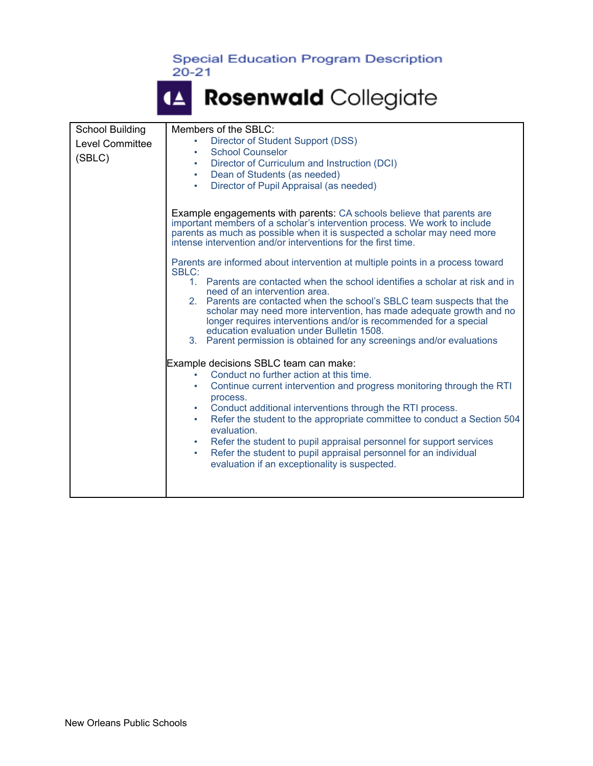| <b>School Building</b> |                              | Members of the SBLC:                                                                                                                                                                                                                                                                                                                                                                                                                                                                                                                                                                                                                                                                                                                                                                                                                                                                                                                                                                                                                                                                                                                                                                                                                                                                                                                                                                                                                |
|------------------------|------------------------------|-------------------------------------------------------------------------------------------------------------------------------------------------------------------------------------------------------------------------------------------------------------------------------------------------------------------------------------------------------------------------------------------------------------------------------------------------------------------------------------------------------------------------------------------------------------------------------------------------------------------------------------------------------------------------------------------------------------------------------------------------------------------------------------------------------------------------------------------------------------------------------------------------------------------------------------------------------------------------------------------------------------------------------------------------------------------------------------------------------------------------------------------------------------------------------------------------------------------------------------------------------------------------------------------------------------------------------------------------------------------------------------------------------------------------------------|
| Level Committee        |                              | Director of Student Support (DSS)<br>$\bullet$                                                                                                                                                                                                                                                                                                                                                                                                                                                                                                                                                                                                                                                                                                                                                                                                                                                                                                                                                                                                                                                                                                                                                                                                                                                                                                                                                                                      |
|                        | <b>School Counselor</b><br>٠ |                                                                                                                                                                                                                                                                                                                                                                                                                                                                                                                                                                                                                                                                                                                                                                                                                                                                                                                                                                                                                                                                                                                                                                                                                                                                                                                                                                                                                                     |
| (SBLC)                 |                              | Director of Curriculum and Instruction (DCI)<br>٠                                                                                                                                                                                                                                                                                                                                                                                                                                                                                                                                                                                                                                                                                                                                                                                                                                                                                                                                                                                                                                                                                                                                                                                                                                                                                                                                                                                   |
|                        |                              | Dean of Students (as needed)<br>٠                                                                                                                                                                                                                                                                                                                                                                                                                                                                                                                                                                                                                                                                                                                                                                                                                                                                                                                                                                                                                                                                                                                                                                                                                                                                                                                                                                                                   |
|                        |                              | Director of Pupil Appraisal (as needed)<br>٠                                                                                                                                                                                                                                                                                                                                                                                                                                                                                                                                                                                                                                                                                                                                                                                                                                                                                                                                                                                                                                                                                                                                                                                                                                                                                                                                                                                        |
|                        |                              | <b>Example engagements with parents: CA schools believe that parents are</b><br>important members of a scholar's intervention process. We work to include<br>parents as much as possible when it is suspected a scholar may need more<br>intense intervention and/or interventions for the first time.<br>Parents are informed about intervention at multiple points in a process toward<br><b>SBLC:</b><br>1. Parents are contacted when the school identifies a scholar at risk and in<br>need of an intervention area.<br>2. Parents are contacted when the school's SBLC team suspects that the<br>scholar may need more intervention, has made adequate growth and no<br>longer requires interventions and/or is recommended for a special<br>education evaluation under Bulletin 1508.<br>3. Parent permission is obtained for any screenings and/or evaluations<br>Example decisions SBLC team can make:<br>Conduct no further action at this time.<br>Continue current intervention and progress monitoring through the RTI<br>$\bullet$<br>process.<br>Conduct additional interventions through the RTI process.<br>۰<br>Refer the student to the appropriate committee to conduct a Section 504<br>٠<br>evaluation.<br>Refer the student to pupil appraisal personnel for support services<br>٠<br>Refer the student to pupil appraisal personnel for an individual<br>٠<br>evaluation if an exceptionality is suspected. |
|                        |                              |                                                                                                                                                                                                                                                                                                                                                                                                                                                                                                                                                                                                                                                                                                                                                                                                                                                                                                                                                                                                                                                                                                                                                                                                                                                                                                                                                                                                                                     |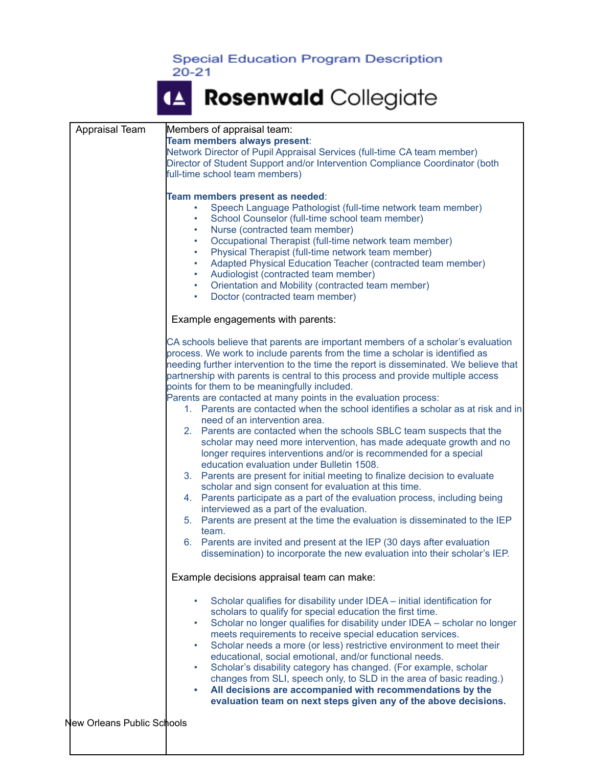$20 - 21$ 

| Appraisal Team             | Members of appraisal team:                                                           |
|----------------------------|--------------------------------------------------------------------------------------|
|                            | Team members always present:                                                         |
|                            | Network Director of Pupil Appraisal Services (full-time CA team member)              |
|                            | Director of Student Support and/or Intervention Compliance Coordinator (both         |
|                            | full-time school team members)                                                       |
|                            |                                                                                      |
|                            |                                                                                      |
|                            | Team members present as needed:                                                      |
|                            | Speech Language Pathologist (full-time network team member)                          |
|                            | School Counselor (full-time school team member)                                      |
|                            | Nurse (contracted team member)<br>۰                                                  |
|                            | Occupational Therapist (full-time network team member)<br>$\bullet$                  |
|                            | Physical Therapist (full-time network team member)<br>٠                              |
|                            | Adapted Physical Education Teacher (contracted team member)<br>$\bullet$             |
|                            | Audiologist (contracted team member)<br>$\bullet$                                    |
|                            | Orientation and Mobility (contracted team member)<br>٠                               |
|                            | Doctor (contracted team member)<br>٠                                                 |
|                            |                                                                                      |
|                            | Example engagements with parents:                                                    |
|                            |                                                                                      |
|                            | CA schools believe that parents are important members of a scholar's evaluation      |
|                            | process. We work to include parents from the time a scholar is identified as         |
|                            | needing further intervention to the time the report is disseminated. We believe that |
|                            | partnership with parents is central to this process and provide multiple access      |
|                            | points for them to be meaningfully included.                                         |
|                            | Parents are contacted at many points in the evaluation process:                      |
|                            | 1. Parents are contacted when the school identifies a scholar as at risk and in      |
|                            | need of an intervention area.                                                        |
|                            |                                                                                      |
|                            | 2. Parents are contacted when the schools SBLC team suspects that the                |
|                            | scholar may need more intervention, has made adequate growth and no                  |
|                            | longer requires interventions and/or is recommended for a special                    |
|                            | education evaluation under Bulletin 1508.                                            |
|                            | 3. Parents are present for initial meeting to finalize decision to evaluate          |
|                            | scholar and sign consent for evaluation at this time.                                |
|                            | 4. Parents participate as a part of the evaluation process, including being          |
|                            | interviewed as a part of the evaluation.                                             |
|                            | 5. Parents are present at the time the evaluation is disseminated to the IEP         |
|                            | team.                                                                                |
|                            | 6. Parents are invited and present at the IEP (30 days after evaluation              |
|                            | dissemination) to incorporate the new evaluation into their scholar's IEP.           |
|                            |                                                                                      |
|                            | Example decisions appraisal team can make:                                           |
|                            |                                                                                      |
|                            | Scholar qualifies for disability under IDEA - initial identification for             |
|                            | scholars to qualify for special education the first time.                            |
|                            | Scholar no longer qualifies for disability under IDEA - scholar no longer<br>٠       |
|                            | meets requirements to receive special education services.                            |
|                            | Scholar needs a more (or less) restrictive environment to meet their<br>٠            |
|                            | educational, social emotional, and/or functional needs.                              |
|                            |                                                                                      |
|                            | Scholar's disability category has changed. (For example, scholar<br>٠                |
|                            | changes from SLI, speech only, to SLD in the area of basic reading.)                 |
|                            | All decisions are accompanied with recommendations by the<br>٠                       |
|                            | evaluation team on next steps given any of the above decisions.                      |
|                            |                                                                                      |
| New Orleans Public Schools |                                                                                      |
|                            |                                                                                      |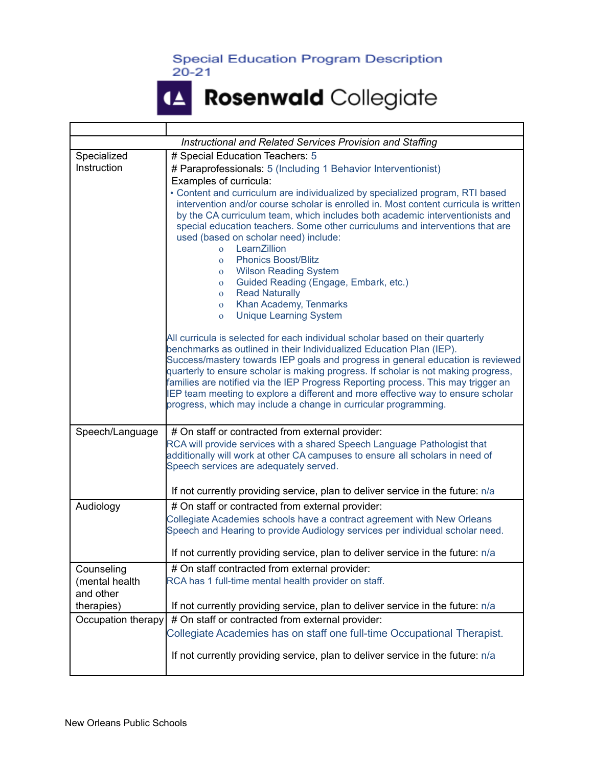T

Г

#### Rosenwald Collegiate  $\blacktriangle$

٦

|                    | Instructional and Related Services Provision and Staffing                                                                                                             |
|--------------------|-----------------------------------------------------------------------------------------------------------------------------------------------------------------------|
| Specialized        | # Special Education Teachers: 5                                                                                                                                       |
| Instruction        | # Paraprofessionals: 5 (Including 1 Behavior Interventionist)                                                                                                         |
|                    | Examples of curricula:                                                                                                                                                |
|                    | • Content and curriculum are individualized by specialized program, RTI based                                                                                         |
|                    | intervention and/or course scholar is enrolled in. Most content curricula is written                                                                                  |
|                    | by the CA curriculum team, which includes both academic interventionists and                                                                                          |
|                    | special education teachers. Some other curriculums and interventions that are                                                                                         |
|                    | used (based on scholar need) include:                                                                                                                                 |
|                    | LearnZillion<br>$\overline{O}$                                                                                                                                        |
|                    | <b>Phonics Boost/Blitz</b><br>$\Omega$                                                                                                                                |
|                    | <b>Wilson Reading System</b><br>$\mathbf{O}$                                                                                                                          |
|                    | Guided Reading (Engage, Embark, etc.)<br>$\mathbf{O}$                                                                                                                 |
|                    | <b>Read Naturally</b><br>$\overline{O}$<br>Khan Academy, Tenmarks<br>$\overline{O}$                                                                                   |
|                    | <b>Unique Learning System</b><br>$\mathbf{O}$                                                                                                                         |
|                    |                                                                                                                                                                       |
|                    | All curricula is selected for each individual scholar based on their quarterly                                                                                        |
|                    | benchmarks as outlined in their Individualized Education Plan (IEP).                                                                                                  |
|                    | Success/mastery towards IEP goals and progress in general education is reviewed                                                                                       |
|                    | quarterly to ensure scholar is making progress. If scholar is not making progress,                                                                                    |
|                    | families are notified via the IEP Progress Reporting process. This may trigger an<br>IEP team meeting to explore a different and more effective way to ensure scholar |
|                    | progress, which may include a change in curricular programming.                                                                                                       |
|                    |                                                                                                                                                                       |
| Speech/Language    | # On staff or contracted from external provider:                                                                                                                      |
|                    | RCA will provide services with a shared Speech Language Pathologist that                                                                                              |
|                    | additionally will work at other CA campuses to ensure all scholars in need of                                                                                         |
|                    | Speech services are adequately served.                                                                                                                                |
|                    |                                                                                                                                                                       |
|                    | If not currently providing service, plan to deliver service in the future: n/a                                                                                        |
| Audiology          | # On staff or contracted from external provider:                                                                                                                      |
|                    | Collegiate Academies schools have a contract agreement with New Orleans                                                                                               |
|                    | Speech and Hearing to provide Audiology services per individual scholar need.                                                                                         |
|                    | If not currently providing service, plan to deliver service in the future: n/a                                                                                        |
| Counseling         | # On staff contracted from external provider:                                                                                                                         |
| (mental health     | RCA has 1 full-time mental health provider on staff.                                                                                                                  |
| and other          |                                                                                                                                                                       |
| therapies)         | If not currently providing service, plan to deliver service in the future: n/a                                                                                        |
| Occupation therapy | # On staff or contracted from external provider:                                                                                                                      |
|                    | Collegiate Academies has on staff one full-time Occupational Therapist.                                                                                               |
|                    |                                                                                                                                                                       |
|                    | If not currently providing service, plan to deliver service in the future: n/a                                                                                        |
|                    |                                                                                                                                                                       |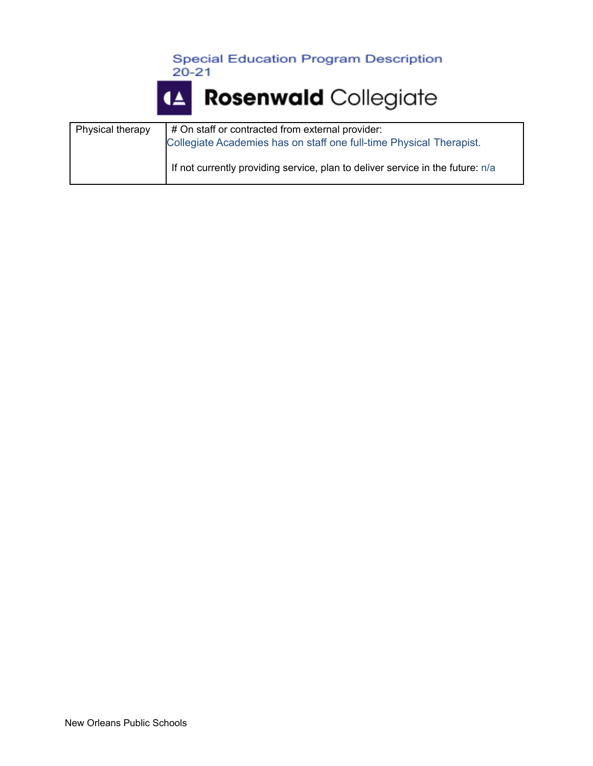



| Physical therapy | # On staff or contracted from external provider:<br>Collegiate Academies has on staff one full-time Physical Therapist. |
|------------------|-------------------------------------------------------------------------------------------------------------------------|
|                  | If not currently providing service, plan to deliver service in the future: n/a                                          |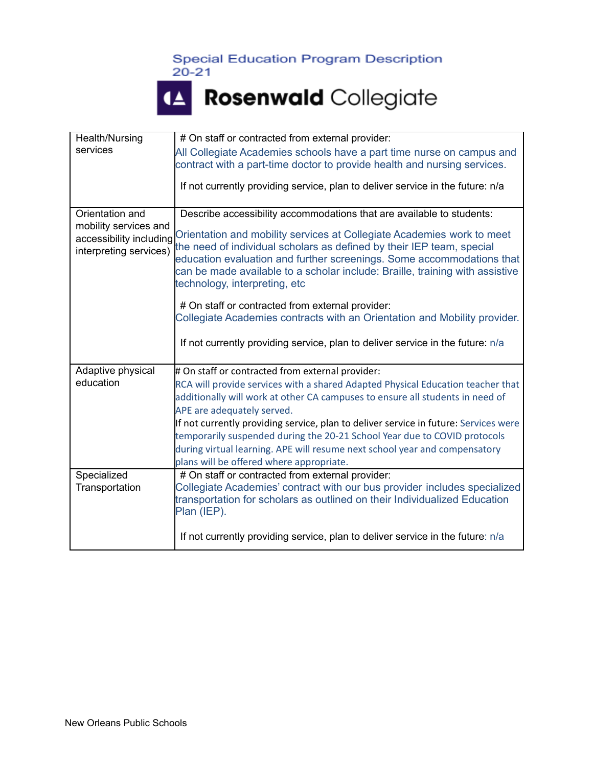



| Health/Nursing                                                             | # On staff or contracted from external provider:                                                                                                                                                                                                                                                                                          |
|----------------------------------------------------------------------------|-------------------------------------------------------------------------------------------------------------------------------------------------------------------------------------------------------------------------------------------------------------------------------------------------------------------------------------------|
| services                                                                   | All Collegiate Academies schools have a part time nurse on campus and<br>contract with a part-time doctor to provide health and nursing services.                                                                                                                                                                                         |
|                                                                            | If not currently providing service, plan to deliver service in the future: n/a                                                                                                                                                                                                                                                            |
| Orientation and                                                            | Describe accessibility accommodations that are available to students:                                                                                                                                                                                                                                                                     |
| mobility services and<br>accessibility including<br>interpreting services) | Orientation and mobility services at Collegiate Academies work to meet<br>the need of individual scholars as defined by their IEP team, special<br>education evaluation and further screenings. Some accommodations that<br>can be made available to a scholar include: Braille, training with assistive<br>technology, interpreting, etc |
|                                                                            | # On staff or contracted from external provider:<br>Collegiate Academies contracts with an Orientation and Mobility provider.                                                                                                                                                                                                             |
|                                                                            | If not currently providing service, plan to deliver service in the future: n/a                                                                                                                                                                                                                                                            |
| Adaptive physical                                                          | # On staff or contracted from external provider:                                                                                                                                                                                                                                                                                          |
| education                                                                  | RCA will provide services with a shared Adapted Physical Education teacher that<br>additionally will work at other CA campuses to ensure all students in need of<br>APE are adequately served.                                                                                                                                            |
|                                                                            | If not currently providing service, plan to deliver service in future: Services were                                                                                                                                                                                                                                                      |
|                                                                            | temporarily suspended during the 20-21 School Year due to COVID protocols                                                                                                                                                                                                                                                                 |
|                                                                            | during virtual learning. APE will resume next school year and compensatory                                                                                                                                                                                                                                                                |
| Specialized                                                                | plans will be offered where appropriate.<br># On staff or contracted from external provider:                                                                                                                                                                                                                                              |
| Transportation                                                             | Collegiate Academies' contract with our bus provider includes specialized<br>transportation for scholars as outlined on their Individualized Education<br>Plan (IEP).                                                                                                                                                                     |
|                                                                            | If not currently providing service, plan to deliver service in the future: n/a                                                                                                                                                                                                                                                            |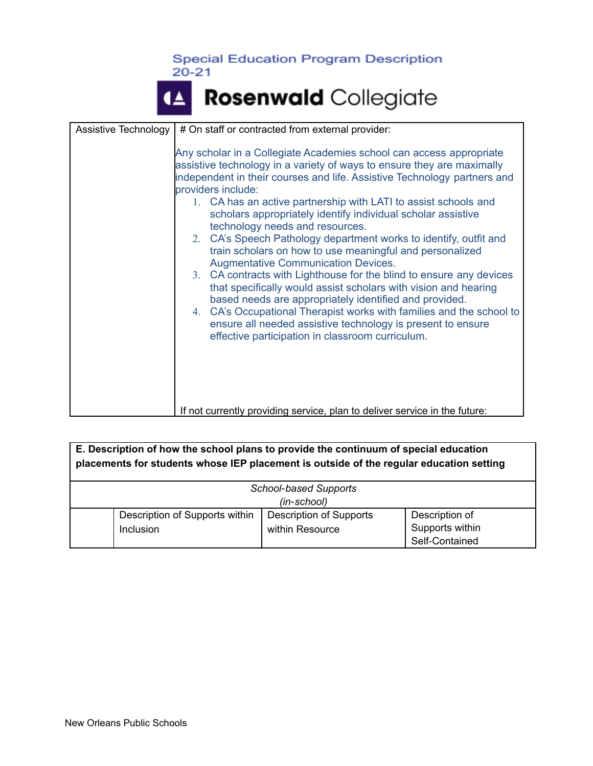| Assistive Technology | # On staff or contracted from external provider:                                                                                                                                                                                                                                                                                                                                                                                                                                                                                                                                                                                                                                                                                                                                                                                                                                                                                                                                                    |
|----------------------|-----------------------------------------------------------------------------------------------------------------------------------------------------------------------------------------------------------------------------------------------------------------------------------------------------------------------------------------------------------------------------------------------------------------------------------------------------------------------------------------------------------------------------------------------------------------------------------------------------------------------------------------------------------------------------------------------------------------------------------------------------------------------------------------------------------------------------------------------------------------------------------------------------------------------------------------------------------------------------------------------------|
|                      | Any scholar in a Collegiate Academies school can access appropriate<br>assistive technology in a variety of ways to ensure they are maximally<br>independent in their courses and life. Assistive Technology partners and<br>providers include:<br>1. CA has an active partnership with LATI to assist schools and<br>scholars appropriately identify individual scholar assistive<br>technology needs and resources.<br>2. CA's Speech Pathology department works to identify, outfit and<br>train scholars on how to use meaningful and personalized<br><b>Augmentative Communication Devices.</b><br>3. CA contracts with Lighthouse for the blind to ensure any devices<br>that specifically would assist scholars with vision and hearing<br>based needs are appropriately identified and provided.<br>4. CA's Occupational Therapist works with families and the school to<br>ensure all needed assistive technology is present to ensure<br>effective participation in classroom curriculum. |
|                      | If not currently providing service, plan to deliver service in the future:                                                                                                                                                                                                                                                                                                                                                                                                                                                                                                                                                                                                                                                                                                                                                                                                                                                                                                                          |

| E. Description of how the school plans to provide the continuum of special education    |                                |                                |                 |  |  |
|-----------------------------------------------------------------------------------------|--------------------------------|--------------------------------|-----------------|--|--|
| placements for students whose IEP placement is outside of the regular education setting |                                |                                |                 |  |  |
|                                                                                         |                                |                                |                 |  |  |
| <b>School-based Supports</b>                                                            |                                |                                |                 |  |  |
| (in-school)                                                                             |                                |                                |                 |  |  |
|                                                                                         | Description of Supports within | <b>Description of Supports</b> | Description of  |  |  |
|                                                                                         | Inclusion                      | within Resource                | Supports within |  |  |
|                                                                                         |                                |                                | Self-Contained  |  |  |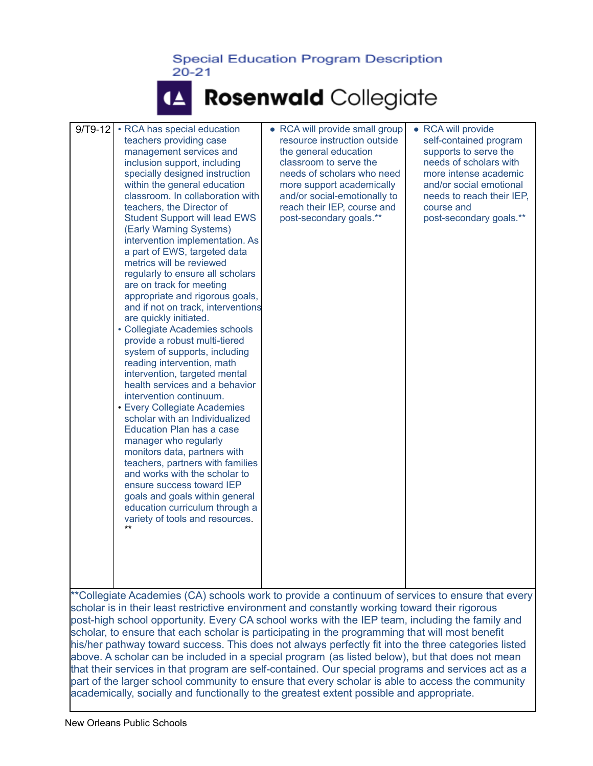### 14 Rosenwald Collegiate

| $9/T9-12$                                                                                                                                                                                                                                                                                                                                   | • RCA has special education<br>teachers providing case<br>management services and<br>inclusion support, including<br>specially designed instruction<br>within the general education<br>classroom. In collaboration with<br>teachers, the Director of<br><b>Student Support will lead EWS</b><br>(Early Warning Systems)<br>intervention implementation. As<br>a part of EWS, targeted data<br>metrics will be reviewed<br>regularly to ensure all scholars<br>are on track for meeting<br>appropriate and rigorous goals,<br>and if not on track, interventions<br>are quickly initiated.<br>• Collegiate Academies schools<br>provide a robust multi-tiered<br>system of supports, including<br>reading intervention, math<br>intervention, targeted mental<br>health services and a behavior<br>intervention continuum.<br>• Every Collegiate Academies<br>scholar with an Individualized<br>Education Plan has a case<br>manager who regularly<br>monitors data, partners with<br>teachers, partners with families<br>and works with the scholar to<br>ensure success toward IEP<br>goals and goals within general<br>education curriculum through a<br>variety of tools and resources.<br>$***$ | • RCA will provide small group<br>resource instruction outside<br>the general education<br>classroom to serve the<br>needs of scholars who need<br>more support academically<br>and/or social-emotionally to<br>reach their IEP, course and<br>post-secondary goals.** | <b>RCA will provide</b><br>$\bullet$<br>self-contained program<br>supports to serve the<br>needs of scholars with<br>more intense academic<br>and/or social emotional<br>needs to reach their IEP,<br>course and<br>post-secondary goals.** |  |
|---------------------------------------------------------------------------------------------------------------------------------------------------------------------------------------------------------------------------------------------------------------------------------------------------------------------------------------------|-----------------------------------------------------------------------------------------------------------------------------------------------------------------------------------------------------------------------------------------------------------------------------------------------------------------------------------------------------------------------------------------------------------------------------------------------------------------------------------------------------------------------------------------------------------------------------------------------------------------------------------------------------------------------------------------------------------------------------------------------------------------------------------------------------------------------------------------------------------------------------------------------------------------------------------------------------------------------------------------------------------------------------------------------------------------------------------------------------------------------------------------------------------------------------------------------------|------------------------------------------------------------------------------------------------------------------------------------------------------------------------------------------------------------------------------------------------------------------------|---------------------------------------------------------------------------------------------------------------------------------------------------------------------------------------------------------------------------------------------|--|
| **Collegiate Academies (CA) schools work to provide a continuum of services to ensure that every<br>scholar is in their least restrictive environment and constantly working toward their rigorous<br>post-high school opportunity. Every CA school works with the IEP team, including the family and<br>ob oobolor io portioinating in the |                                                                                                                                                                                                                                                                                                                                                                                                                                                                                                                                                                                                                                                                                                                                                                                                                                                                                                                                                                                                                                                                                                                                                                                                     |                                                                                                                                                                                                                                                                        |                                                                                                                                                                                                                                             |  |

scholar, to ensure that each scholar is participating in the programming that will most benefit his/her pathway toward success. This does not always perfectly fit into the three categories listed above. A scholar can be included in a special program (as listed below), but that does not mean that their services in that program are self-contained. Our special programs and services act as a part of the larger school community to ensure that every scholar is able to access the community academically, socially and functionally to the greatest extent possible and appropriate.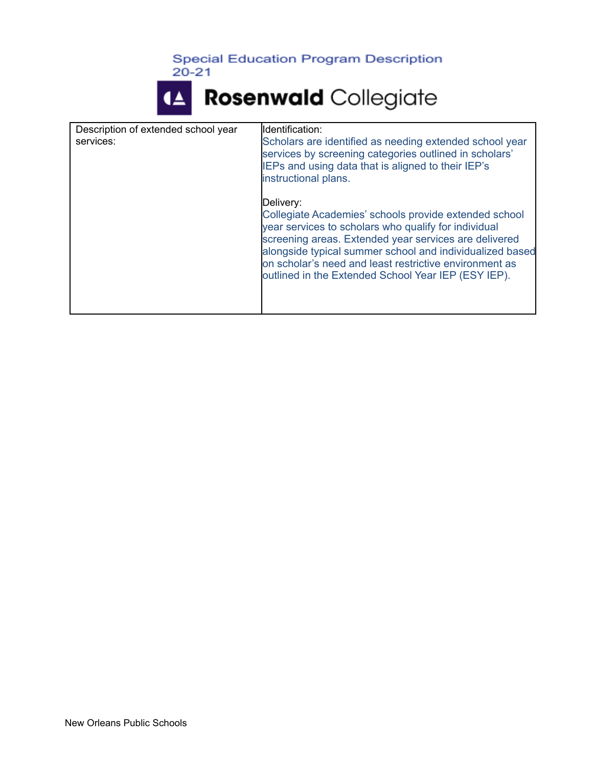$20 - 21$ 



| Description of extended school year<br>services: | lldentification:<br>Scholars are identified as needing extended school year<br>services by screening categories outlined in scholars'<br>IEPs and using data that is aligned to their IEP's<br>instructional plans.                                                                                                                                              |
|--------------------------------------------------|------------------------------------------------------------------------------------------------------------------------------------------------------------------------------------------------------------------------------------------------------------------------------------------------------------------------------------------------------------------|
|                                                  | Delivery:<br>Collegiate Academies' schools provide extended school<br>year services to scholars who qualify for individual<br>screening areas. Extended year services are delivered<br>alongside typical summer school and individualized based<br>on scholar's need and least restrictive environment as<br>outlined in the Extended School Year IEP (ESY IEP). |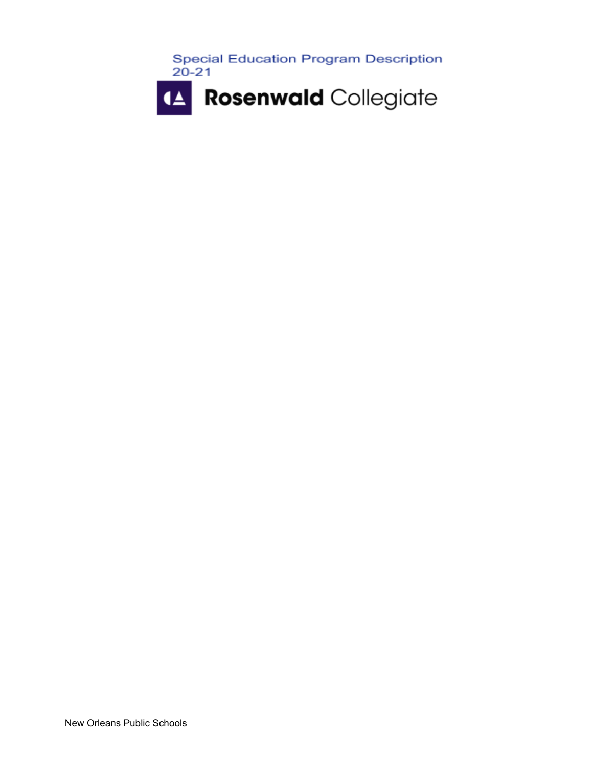

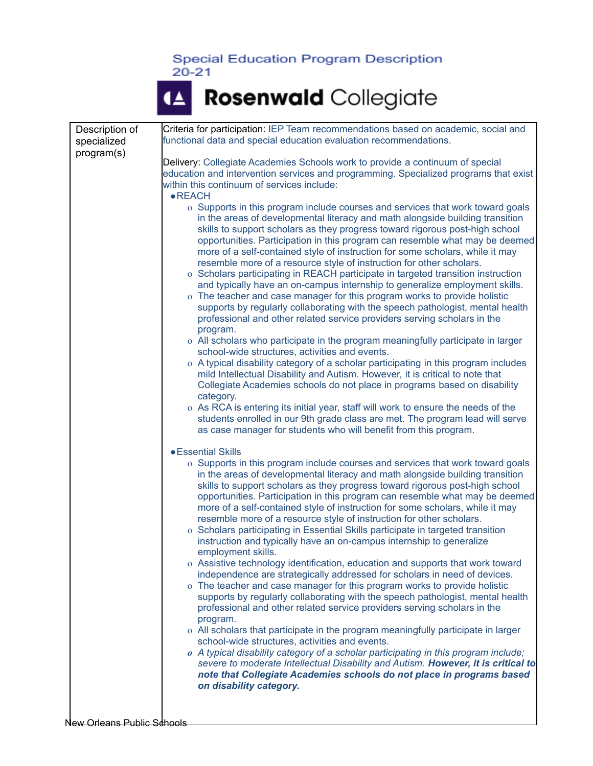# <sup>4</sup> Rosenwald Collegiate

| Description of             | Criteria for participation: IEP Team recommendations based on academic, social and                                                                                 |
|----------------------------|--------------------------------------------------------------------------------------------------------------------------------------------------------------------|
| specialized                | functional data and special education evaluation recommendations.                                                                                                  |
| program(s)                 | Delivery: Collegiate Academies Schools work to provide a continuum of special                                                                                      |
|                            | education and intervention services and programming. Specialized programs that exist<br>within this continuum of services include:                                 |
|                            | $\bullet$ REACH                                                                                                                                                    |
|                            | o Supports in this program include courses and services that work toward goals                                                                                     |
|                            | in the areas of developmental literacy and math alongside building transition<br>skills to support scholars as they progress toward rigorous post-high school      |
|                            | opportunities. Participation in this program can resemble what may be deemed                                                                                       |
|                            | more of a self-contained style of instruction for some scholars, while it may<br>resemble more of a resource style of instruction for other scholars.              |
|                            | o Scholars participating in REACH participate in targeted transition instruction                                                                                   |
|                            | and typically have an on-campus internship to generalize employment skills.                                                                                        |
|                            | o The teacher and case manager for this program works to provide holistic<br>supports by regularly collaborating with the speech pathologist, mental health        |
|                            | professional and other related service providers serving scholars in the                                                                                           |
|                            | program.<br>o All scholars who participate in the program meaningfully participate in larger                                                                       |
|                            | school-wide structures, activities and events.                                                                                                                     |
|                            | o A typical disability category of a scholar participating in this program includes                                                                                |
|                            | mild Intellectual Disability and Autism. However, it is critical to note that<br>Collegiate Academies schools do not place in programs based on disability         |
|                            | category.                                                                                                                                                          |
|                            | o As RCA is entering its initial year, staff will work to ensure the needs of the<br>students enrolled in our 9th grade class are met. The program lead will serve |
|                            | as case manager for students who will benefit from this program.                                                                                                   |
|                            | <b>• Essential Skills</b>                                                                                                                                          |
|                            | o Supports in this program include courses and services that work toward goals                                                                                     |
|                            | in the areas of developmental literacy and math alongside building transition<br>skills to support scholars as they progress toward rigorous post-high school      |
|                            | opportunities. Participation in this program can resemble what may be deemed                                                                                       |
|                            | more of a self-contained style of instruction for some scholars, while it may                                                                                      |
|                            | resemble more of a resource style of instruction for other scholars.<br>o Scholars participating in Essential Skills participate in targeted transition            |
|                            | instruction and typically have an on-campus internship to generalize                                                                                               |
|                            | employment skills.                                                                                                                                                 |
|                            | o Assistive technology identification, education and supports that work toward<br>independence are strategically addressed for scholars in need of devices.        |
|                            | o The teacher and case manager for this program works to provide holistic                                                                                          |
|                            | supports by regularly collaborating with the speech pathologist, mental health<br>professional and other related service providers serving scholars in the         |
|                            | program.                                                                                                                                                           |
|                            | o All scholars that participate in the program meaningfully participate in larger                                                                                  |
|                            | school-wide structures, activities and events.<br>o A typical disability category of a scholar participating in this program include;                              |
|                            | severe to moderate Intellectual Disability and Autism. However, it is critical to                                                                                  |
|                            | note that Collegiate Academies schools do not place in programs based<br>on disability category.                                                                   |
|                            |                                                                                                                                                                    |
|                            |                                                                                                                                                                    |
| New Orleans Public Schools |                                                                                                                                                                    |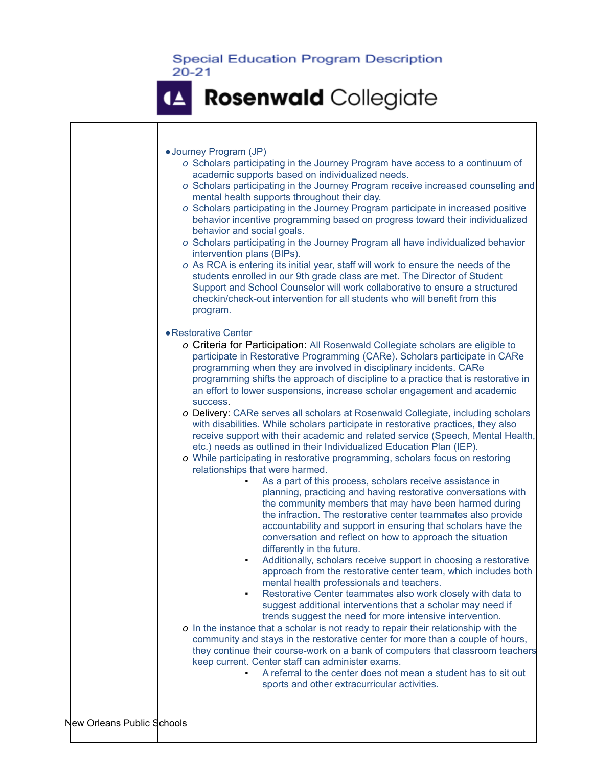|                            | • Journey Program (JP)                                                                                                                                                                                                                                                                                                                                                                                                                                                                     |
|----------------------------|--------------------------------------------------------------------------------------------------------------------------------------------------------------------------------------------------------------------------------------------------------------------------------------------------------------------------------------------------------------------------------------------------------------------------------------------------------------------------------------------|
|                            | o Scholars participating in the Journey Program have access to a continuum of<br>academic supports based on individualized needs.<br>o Scholars participating in the Journey Program receive increased counseling and                                                                                                                                                                                                                                                                      |
|                            | mental health supports throughout their day.<br>o Scholars participating in the Journey Program participate in increased positive<br>behavior incentive programming based on progress toward their individualized<br>behavior and social goals.                                                                                                                                                                                                                                            |
|                            | o Scholars participating in the Journey Program all have individualized behavior<br>intervention plans (BIPs).                                                                                                                                                                                                                                                                                                                                                                             |
|                            | o As RCA is entering its initial year, staff will work to ensure the needs of the<br>students enrolled in our 9th grade class are met. The Director of Student<br>Support and School Counselor will work collaborative to ensure a structured<br>checkin/check-out intervention for all students who will benefit from this<br>program.                                                                                                                                                    |
|                            | • Restorative Center                                                                                                                                                                                                                                                                                                                                                                                                                                                                       |
|                            | o Criteria for Participation: All Rosenwald Collegiate scholars are eligible to<br>participate in Restorative Programming (CARe). Scholars participate in CARe<br>programming when they are involved in disciplinary incidents. CARe<br>programming shifts the approach of discipline to a practice that is restorative in<br>an effort to lower suspensions, increase scholar engagement and academic<br>success.                                                                         |
|                            | o Delivery: CARe serves all scholars at Rosenwald Collegiate, including scholars<br>with disabilities. While scholars participate in restorative practices, they also<br>receive support with their academic and related service (Speech, Mental Health,<br>etc.) needs as outlined in their Individualized Education Plan (IEP).<br>o While participating in restorative programming, scholars focus on restoring<br>relationships that were harmed.                                      |
|                            | As a part of this process, scholars receive assistance in<br>planning, practicing and having restorative conversations with<br>the community members that may have been harmed during<br>the infraction. The restorative center teammates also provide<br>accountability and support in ensuring that scholars have the<br>conversation and reflect on how to approach the situation                                                                                                       |
|                            | differently in the future.<br>Additionally, scholars receive support in choosing a restorative<br>approach from the restorative center team, which includes both<br>mental health professionals and teachers.<br>Restorative Center teammates also work closely with data to<br>suggest additional interventions that a scholar may need if                                                                                                                                                |
|                            | trends suggest the need for more intensive intervention.<br>o In the instance that a scholar is not ready to repair their relationship with the<br>community and stays in the restorative center for more than a couple of hours,<br>they continue their course-work on a bank of computers that classroom teachers<br>keep current. Center staff can administer exams.<br>A referral to the center does not mean a student has to sit out<br>sports and other extracurricular activities. |
| New Orleans Public Schools |                                                                                                                                                                                                                                                                                                                                                                                                                                                                                            |
|                            |                                                                                                                                                                                                                                                                                                                                                                                                                                                                                            |